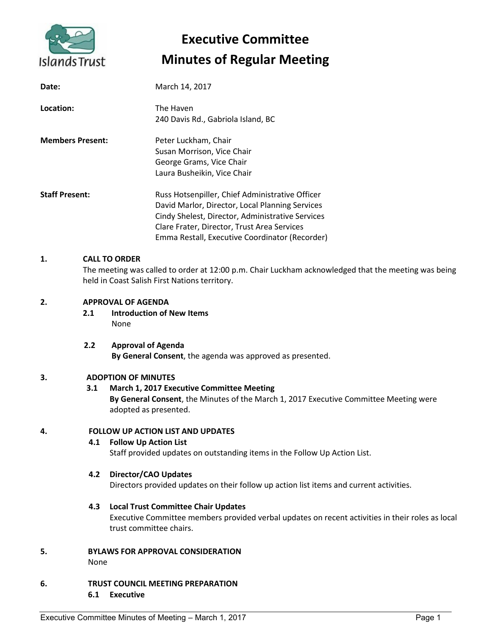

# **Executive Committee Minutes of Regular Meeting**

| Date:                   | March 14, 2017                                                                                                                                                                                                                                          |
|-------------------------|---------------------------------------------------------------------------------------------------------------------------------------------------------------------------------------------------------------------------------------------------------|
| Location:               | The Haven<br>240 Davis Rd., Gabriola Island, BC                                                                                                                                                                                                         |
| <b>Members Present:</b> | Peter Luckham, Chair<br>Susan Morrison, Vice Chair<br>George Grams, Vice Chair<br>Laura Busheikin, Vice Chair                                                                                                                                           |
| <b>Staff Present:</b>   | Russ Hotsenpiller, Chief Administrative Officer<br>David Marlor, Director, Local Planning Services<br>Cindy Shelest, Director, Administrative Services<br>Clare Frater, Director, Trust Area Services<br>Emma Restall, Executive Coordinator (Recorder) |

## **1. CALL TO ORDER**

The meeting was called to order at 12:00 p.m. Chair Luckham acknowledged that the meeting was being held in Coast Salish First Nations territory.

# **2. APPROVAL OF AGENDA**

**2.1 Introduction of New Items** None

#### **2.2 Approval of Agenda By General Consent**, the agenda was approved as presented.

#### **3. ADOPTION OF MINUTES**

# **3.1 March 1, 2017 Executive Committee Meeting**

**By General Consent**, the Minutes of the March 1, 2017 Executive Committee Meeting were adopted as presented.

#### **4. FOLLOW UP ACTION LIST AND UPDATES**

#### **4.1 Follow Up Action List**

Staff provided updates on outstanding items in the Follow Up Action List.

# **4.2 Director/CAO Updates**

Directors provided updates on their follow up action list items and current activities.

#### **4.3 Local Trust Committee Chair Updates**

Executive Committee members provided verbal updates on recent activities in their roles as local trust committee chairs.

- **5. BYLAWS FOR APPROVAL CONSIDERATION** None
- **6. TRUST COUNCIL MEETING PREPARATION 6.1 Executive**